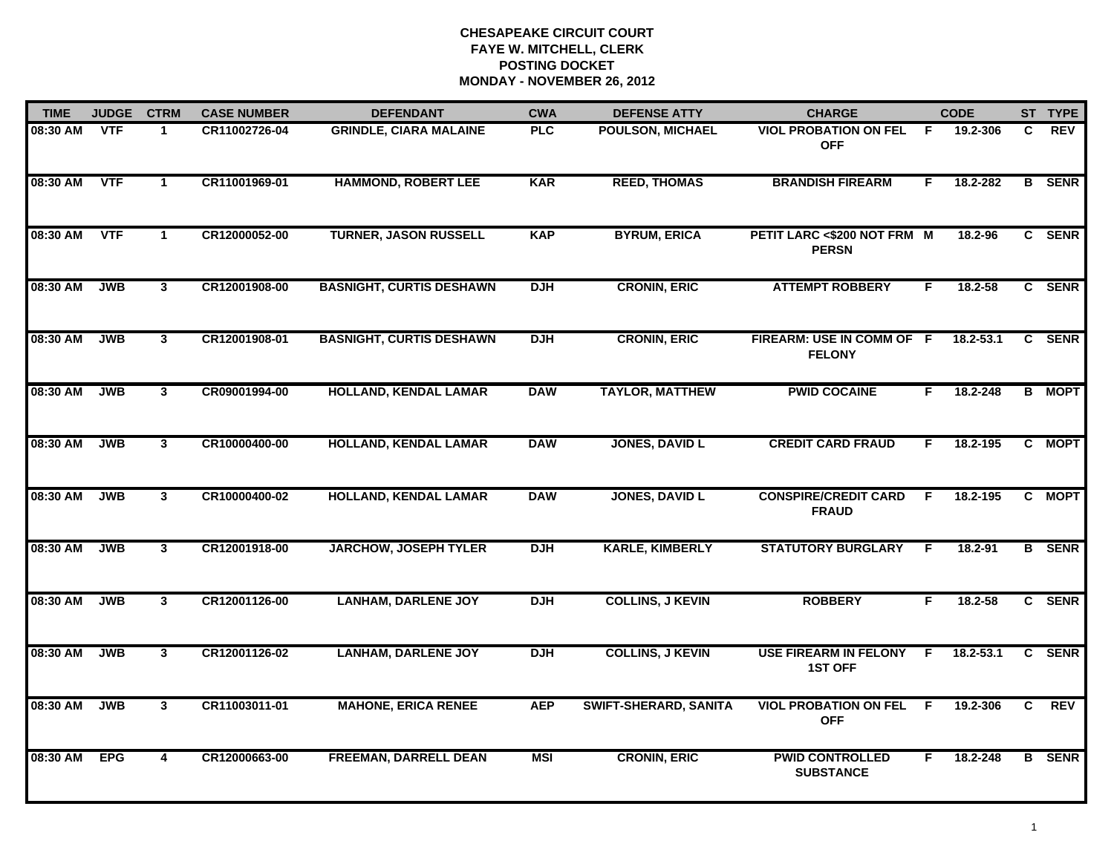| <b>TIME</b> | <b>JUDGE</b> | <b>CTRM</b>             | <b>CASE NUMBER</b> | <b>DEFENDANT</b>                | <b>CWA</b> | <b>DEFENSE ATTY</b>          | <b>CHARGE</b>                                  |     | <b>CODE</b> |                | ST TYPE       |
|-------------|--------------|-------------------------|--------------------|---------------------------------|------------|------------------------------|------------------------------------------------|-----|-------------|----------------|---------------|
| 08:30 AM    | <b>VTF</b>   | 1.                      | CR11002726-04      | <b>GRINDLE, CIARA MALAINE</b>   | <b>PLC</b> | <b>POULSON, MICHAEL</b>      | <b>VIOL PROBATION ON FEL</b><br><b>OFF</b>     | -F. | 19.2-306    | C.             | <b>REV</b>    |
| 08:30 AM    | <b>VTF</b>   | $\mathbf{1}$            | CR11001969-01      | <b>HAMMOND, ROBERT LEE</b>      | <b>KAR</b> | <b>REED, THOMAS</b>          | <b>BRANDISH FIREARM</b>                        | F.  | 18.2-282    |                | <b>B</b> SENR |
| 08:30 AM    | <b>VTF</b>   | 1                       | CR12000052-00      | <b>TURNER, JASON RUSSELL</b>    | <b>KAP</b> | <b>BYRUM, ERICA</b>          | PETIT LARC <\$200 NOT FRM M<br><b>PERSN</b>    |     | 18.2-96     |                | C SENR        |
| 08:30 AM    | <b>JWB</b>   | 3                       | CR12001908-00      | <b>BASNIGHT, CURTIS DESHAWN</b> | <b>DJH</b> | <b>CRONIN, ERIC</b>          | <b>ATTEMPT ROBBERY</b>                         | F   | 18.2-58     |                | C SENR        |
| 08:30 AM    | <b>JWB</b>   | 3 <sup>1</sup>          | CR12001908-01      | <b>BASNIGHT, CURTIS DESHAWN</b> | <b>DJH</b> | <b>CRONIN, ERIC</b>          | FIREARM: USE IN COMM OF F<br><b>FELONY</b>     |     | 18.2-53.1   |                | C SENR        |
| 08:30 AM    | <b>JWB</b>   | $\mathbf{3}$            | CR09001994-00      | <b>HOLLAND, KENDAL LAMAR</b>    | <b>DAW</b> | <b>TAYLOR, MATTHEW</b>       | <b>PWID COCAINE</b>                            | F.  | 18.2-248    |                | <b>B</b> MOPT |
| 08:30 AM    | <b>JWB</b>   | 3 <sup>1</sup>          | CR10000400-00      | <b>HOLLAND, KENDAL LAMAR</b>    | <b>DAW</b> | <b>JONES, DAVID L</b>        | <b>CREDIT CARD FRAUD</b>                       | F.  | 18.2-195    |                | C MOPT        |
| 08:30 AM    | <b>JWB</b>   | 3 <sup>1</sup>          | CR10000400-02      | <b>HOLLAND, KENDAL LAMAR</b>    | <b>DAW</b> | <b>JONES, DAVID L</b>        | <b>CONSPIRE/CREDIT CARD</b><br><b>FRAUD</b>    | -F  | 18.2-195    |                | C MOPT        |
| 08:30 AM    | <b>JWB</b>   | 3 <sup>1</sup>          | CR12001918-00      | <b>JARCHOW, JOSEPH TYLER</b>    | <b>DJH</b> | <b>KARLE, KIMBERLY</b>       | <b>STATUTORY BURGLARY</b>                      | F   | $18.2 - 91$ |                | <b>B</b> SENR |
| 08:30 AM    | <b>JWB</b>   | $\mathbf{3}$            | CR12001126-00      | <b>LANHAM, DARLENE JOY</b>      | <b>DJH</b> | <b>COLLINS, J KEVIN</b>      | <b>ROBBERY</b>                                 | F.  | $18.2 - 58$ |                | C SENR        |
| 08:30 AM    | <b>JWB</b>   | 3                       | CR12001126-02      | <b>LANHAM, DARLENE JOY</b>      | <b>DJH</b> | <b>COLLINS, J KEVIN</b>      | <b>USE FIREARM IN FELONY</b><br><b>1ST OFF</b> | -F  | 18.2-53.1   |                | C SENR        |
| 08:30 AM    | <b>JWB</b>   | $\mathbf{3}$            | CR11003011-01      | <b>MAHONE, ERICA RENEE</b>      | <b>AEP</b> | <b>SWIFT-SHERARD, SANITA</b> | <b>VIOL PROBATION ON FEL</b><br><b>OFF</b>     | F.  | 19.2-306    | $\overline{c}$ | <b>REV</b>    |
| 08:30 AM    | <b>EPG</b>   | $\overline{\mathbf{4}}$ | CR12000663-00      | <b>FREEMAN, DARRELL DEAN</b>    | <b>MSI</b> | <b>CRONIN, ERIC</b>          | <b>PWID CONTROLLED</b><br><b>SUBSTANCE</b>     | F.  | 18.2-248    |                | <b>B</b> SENR |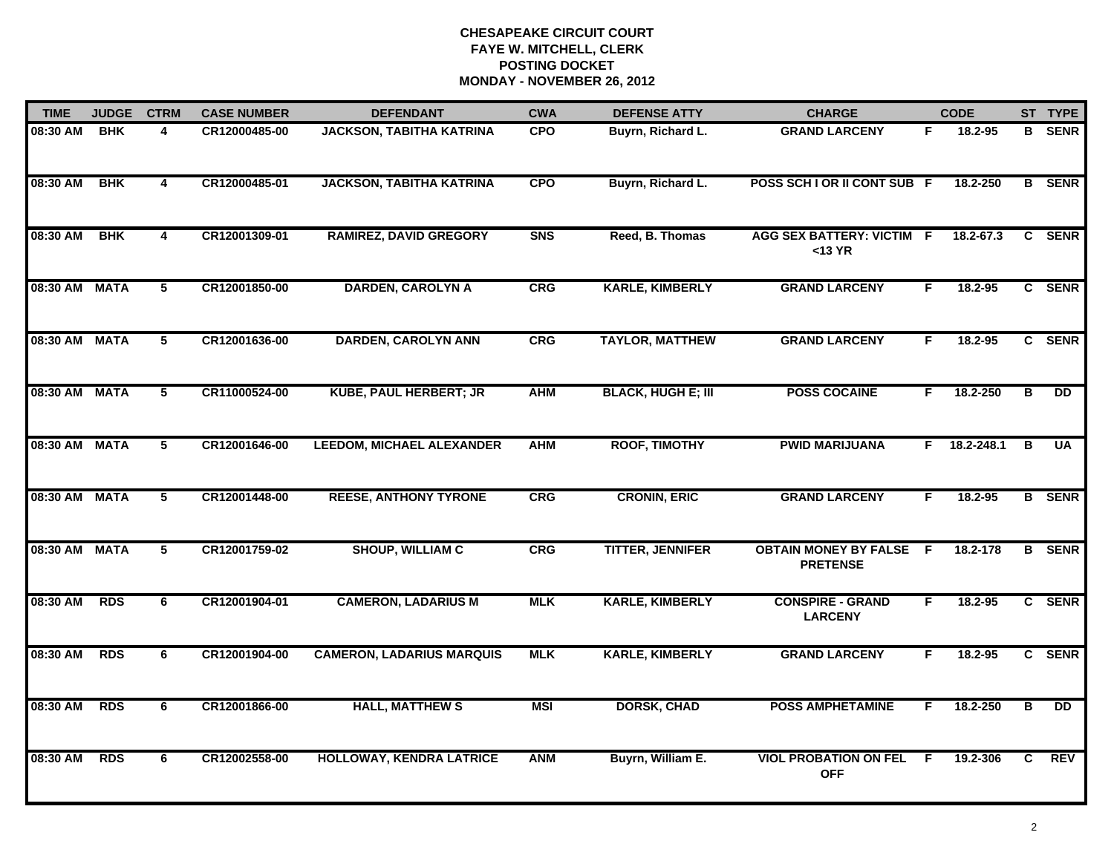| <b>TIME</b>   | <b>JUDGE</b> | <b>CTRM</b>             | <b>CASE NUMBER</b> | <b>DEFENDANT</b>                 | <b>CWA</b> | <b>DEFENSE ATTY</b>       | <b>CHARGE</b>                                   |     | <b>CODE</b>    |                         | ST TYPE         |
|---------------|--------------|-------------------------|--------------------|----------------------------------|------------|---------------------------|-------------------------------------------------|-----|----------------|-------------------------|-----------------|
| 08:30 AM      | <b>BHK</b>   | 4                       | CR12000485-00      | <b>JACKSON, TABITHA KATRINA</b>  | <b>CPO</b> | Buyrn, Richard L.         | <b>GRAND LARCENY</b>                            | F.  | 18.2-95        | в                       | <b>SENR</b>     |
| 08:30 AM      | <b>BHK</b>   | $\overline{\mathbf{4}}$ | CR12000485-01      | <b>JACKSON, TABITHA KATRINA</b>  | CPO        | Buyrn, Richard L.         | POSS SCH I OR II CONT SUB F                     |     | 18.2-250       |                         | <b>B</b> SENR   |
| 08:30 AM      | BHK          | $\overline{\mathbf{4}}$ | CR12001309-01      | <b>RAMIREZ, DAVID GREGORY</b>    | <b>SNS</b> | Reed, B. Thomas           | <b>AGG SEX BATTERY: VICTIM F</b><br>$<$ 13 YR   |     | 18.2-67.3      |                         | C SENR          |
| 08:30 AM MATA |              | 5                       | CR12001850-00      | <b>DARDEN, CAROLYN A</b>         | CRG        | <b>KARLE, KIMBERLY</b>    | <b>GRAND LARCENY</b>                            | F.  | $18.2 - 95$    |                         | C SENR          |
| 08:30 AM      | <b>MATA</b>  | 5                       | CR12001636-00      | <b>DARDEN, CAROLYN ANN</b>       | CRG        | <b>TAYLOR, MATTHEW</b>    | <b>GRAND LARCENY</b>                            | F   | $18.2 - 95$    |                         | C SENR          |
| 08:30 AM      | <b>MATA</b>  | 5                       | CR11000524-00      | <b>KUBE, PAUL HERBERT; JR</b>    | <b>AHM</b> | <b>BLACK, HUGH E; III</b> | <b>POSS COCAINE</b>                             | F.  | 18.2-250       | в                       | $\overline{DD}$ |
| 08:30 AM      | <b>MATA</b>  | 5                       | CR12001646-00      | <b>LEEDOM, MICHAEL ALEXANDER</b> | <b>AHM</b> | <b>ROOF, TIMOTHY</b>      | <b>PWID MARIJUANA</b>                           |     | $F$ 18.2-248.1 | $\overline{B}$          | <b>UA</b>       |
| 08:30 AM MATA |              | 5                       | CR12001448-00      | <b>REESE, ANTHONY TYRONE</b>     | <b>CRG</b> | <b>CRONIN, ERIC</b>       | <b>GRAND LARCENY</b>                            | F.  | 18.2-95        |                         | <b>B</b> SENR   |
| 08:30 AM      | <b>MATA</b>  | 5                       | CR12001759-02      | <b>SHOUP, WILLIAM C</b>          | CRG        | <b>TITTER, JENNIFER</b>   | <b>OBTAIN MONEY BY FALSE</b><br><b>PRETENSE</b> | - F | 18.2-178       |                         | <b>B</b> SENR   |
| 08:30 AM      | <b>RDS</b>   | 6                       | CR12001904-01      | <b>CAMERON, LADARIUS M</b>       | <b>MLK</b> | <b>KARLE, KIMBERLY</b>    | <b>CONSPIRE - GRAND</b><br><b>LARCENY</b>       | F   | $18.2 - 95$    |                         | C SENR          |
| 08:30 AM      | <b>RDS</b>   | 6                       | CR12001904-00      | <b>CAMERON, LADARIUS MARQUIS</b> | <b>MLK</b> | <b>KARLE, KIMBERLY</b>    | <b>GRAND LARCENY</b>                            | F.  | 18.2-95        |                         | C SENR          |
| 08:30 AM      | <b>RDS</b>   | 6                       | CR12001866-00      | <b>HALL, MATTHEW S</b>           | <b>MSI</b> | <b>DORSK, CHAD</b>        | <b>POSS AMPHETAMINE</b>                         | F.  | 18.2-250       | $\overline{\mathbf{B}}$ | $\overline{DD}$ |
| 08:30 AM      | <b>RDS</b>   | 6                       | CR12002558-00      | <b>HOLLOWAY, KENDRA LATRICE</b>  | <b>ANM</b> | Buyrn, William E.         | <b>VIOL PROBATION ON FEL</b><br><b>OFF</b>      | -F  | 19.2-306       | C.                      | REV             |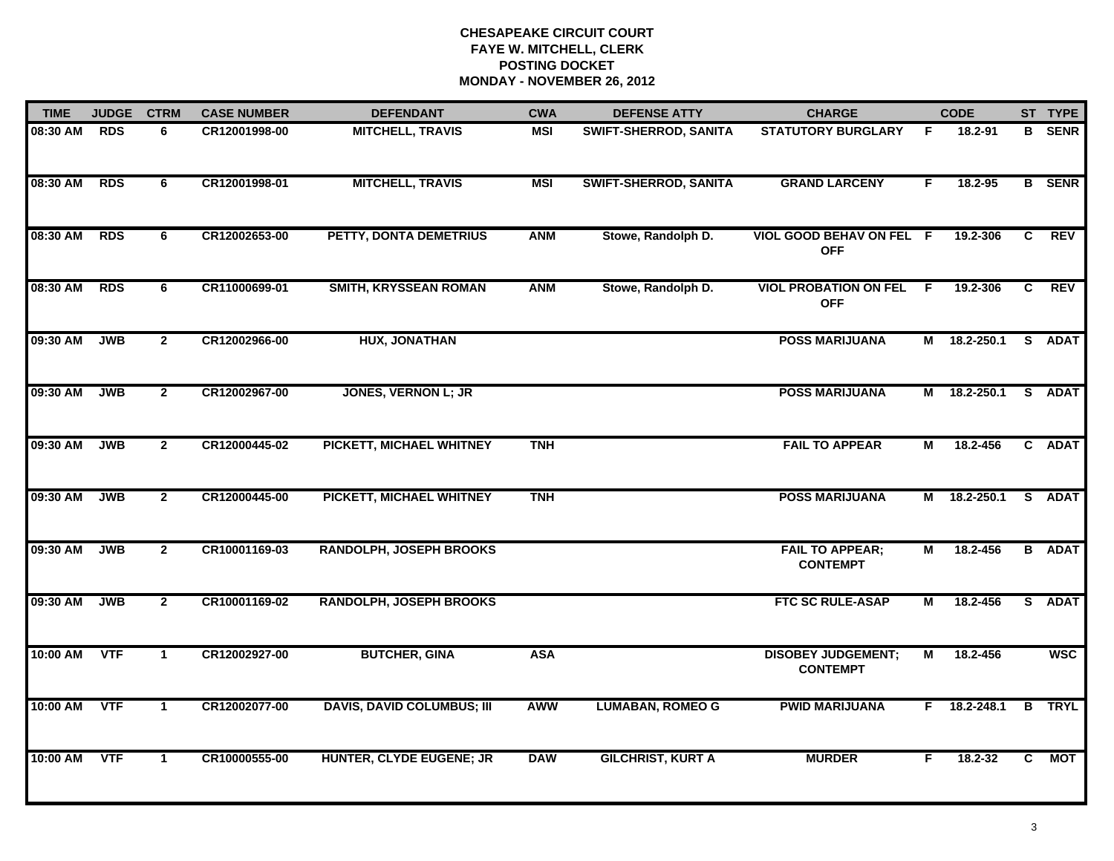| <b>TIME</b> | <b>JUDGE</b> | <b>CTRM</b>    | <b>CASE NUMBER</b> | <b>DEFENDANT</b>                  | <b>CWA</b> | <b>DEFENSE ATTY</b>          | <b>CHARGE</b>                                |                | <b>CODE</b>  |                | ST TYPE       |
|-------------|--------------|----------------|--------------------|-----------------------------------|------------|------------------------------|----------------------------------------------|----------------|--------------|----------------|---------------|
| 08:30 AM    | <b>RDS</b>   | 6              | CR12001998-00      | <b>MITCHELL, TRAVIS</b>           | <b>MSI</b> | SWIFT-SHERROD, SANITA        | <b>STATUTORY BURGLARY</b>                    | F.             | 18.2-91      |                | <b>B</b> SENR |
| 08:30 AM    | <b>RDS</b>   | 6              | CR12001998-01      | <b>MITCHELL, TRAVIS</b>           | <b>MSI</b> | <b>SWIFT-SHERROD, SANITA</b> | <b>GRAND LARCENY</b>                         | F              | 18.2-95      |                | <b>B</b> SENR |
| 08:30 AM    | <b>RDS</b>   | 6              | CR12002653-00      | PETTY, DONTA DEMETRIUS            | <b>ANM</b> | Stowe, Randolph D.           | VIOL GOOD BEHAV ON FEL F<br><b>OFF</b>       |                | 19.2-306     | C              | <b>REV</b>    |
| 08:30 AM    | RDS          | 6              | CR11000699-01      | SMITH, KRYSSEAN ROMAN             | <b>ANM</b> | Stowe, Randolph D.           | <b>VIOL PROBATION ON FEL</b><br><b>OFF</b>   | F.             | 19.2-306     | C.             | <b>REV</b>    |
| 09:30 AM    | <b>JWB</b>   | $\overline{2}$ | CR12002966-00      | HUX, JONATHAN                     |            |                              | <b>POSS MARIJUANA</b>                        | М              | 18.2-250.1   |                | S ADAT        |
| 09:30 AM    | <b>JWB</b>   | $\overline{2}$ | CR12002967-00      | <b>JONES, VERNON L; JR</b>        |            |                              | <b>POSS MARIJUANA</b>                        |                | M 18.2-250.1 |                | S ADAT        |
| 09:30 AM    | <b>JWB</b>   | $\mathbf{2}$   | CR12000445-02      | PICKETT, MICHAEL WHITNEY          | <b>TNH</b> |                              | <b>FAIL TO APPEAR</b>                        | М              | 18.2-456     |                | C ADAT        |
| 09:30 AM    | <b>JWB</b>   | $\mathbf{2}$   | CR12000445-00      | PICKETT, MICHAEL WHITNEY          | <b>TNH</b> |                              | <b>POSS MARIJUANA</b>                        |                | M 18.2-250.1 |                | S ADAT        |
| 09:30 AM    | <b>JWB</b>   | $\overline{2}$ | CR10001169-03      | <b>RANDOLPH, JOSEPH BROOKS</b>    |            |                              | <b>FAIL TO APPEAR;</b><br><b>CONTEMPT</b>    | М              | 18.2-456     |                | <b>B</b> ADAT |
| 09:30 AM    | <b>JWB</b>   | $\mathbf{2}$   | CR10001169-02      | <b>RANDOLPH, JOSEPH BROOKS</b>    |            |                              | <b>FTC SC RULE-ASAP</b>                      | М              | 18.2-456     |                | S ADAT        |
| 10:00 AM    | <b>VTF</b>   | $\mathbf{1}$   | CR12002927-00      | <b>BUTCHER, GINA</b>              | <b>ASA</b> |                              | <b>DISOBEY JUDGEMENT;</b><br><b>CONTEMPT</b> | $\overline{M}$ | 18.2-456     |                | <b>WSC</b>    |
| 10:00 AM    | <b>VTF</b>   | $\mathbf{1}$   | CR12002077-00      | <b>DAVIS, DAVID COLUMBUS; III</b> | <b>AWW</b> | <b>LUMABAN, ROMEO G</b>      | <b>PWID MARIJUANA</b>                        | F.             | 18.2-248.1   | $\overline{B}$ | <b>TRYL</b>   |
| 10:00 AM    | <b>VTF</b>   | $\mathbf 1$    | CR10000555-00      | <b>HUNTER, CLYDE EUGENE; JR</b>   | <b>DAW</b> | <b>GILCHRIST, KURT A</b>     | <b>MURDER</b>                                | F.             | 18.2-32      | C.             | <b>MOT</b>    |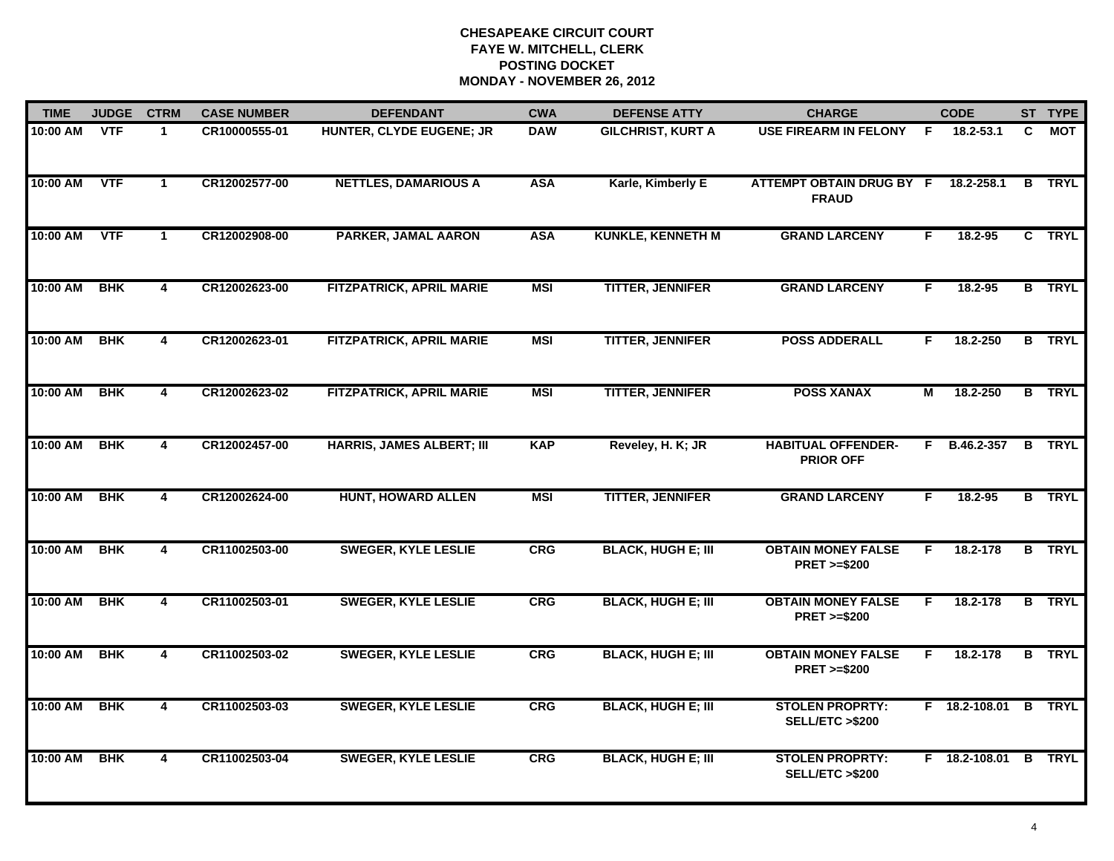| <b>TIME</b> | <b>JUDGE</b> | <b>CTRM</b>             | <b>CASE NUMBER</b> | <b>DEFENDANT</b>                 | <b>CWA</b> | <b>DEFENSE ATTY</b>       | <b>CHARGE</b>                                       |                | <b>CODE</b>     |                         | ST TYPE       |
|-------------|--------------|-------------------------|--------------------|----------------------------------|------------|---------------------------|-----------------------------------------------------|----------------|-----------------|-------------------------|---------------|
| 10:00 AM    | <b>VTF</b>   | $\blacktriangleleft$    | CR10000555-01      | HUNTER, CLYDE EUGENE; JR         | <b>DAW</b> | <b>GILCHRIST, KURT A</b>  | <b>USE FIREARM IN FELONY</b>                        | -F             | 18.2-53.1       | C                       | МОТ           |
| 10:00 AM    | <b>VTF</b>   | $\mathbf{1}$            | CR12002577-00      | <b>NETTLES, DAMARIOUS A</b>      | <b>ASA</b> | Karle, Kimberly E         | ATTEMPT OBTAIN DRUG BY F<br><b>FRAUD</b>            |                | 18.2-258.1      | B                       | <b>TRYL</b>   |
| 10:00 AM    | <b>VTF</b>   | $\mathbf 1$             | CR12002908-00      | PARKER, JAMAL AARON              | <b>ASA</b> | <b>KUNKLE, KENNETH M</b>  | <b>GRAND LARCENY</b>                                | F.             | 18.2-95         |                         | C TRYL        |
| 10:00 AM    | <b>BHK</b>   | 4                       | CR12002623-00      | <b>FITZPATRICK, APRIL MARIE</b>  | <b>MSI</b> | <b>TITTER, JENNIFER</b>   | <b>GRAND LARCENY</b>                                | F.             | $18.2 - 95$     |                         | <b>B</b> TRYL |
| 10:00 AM    | <b>BHK</b>   | 4                       | CR12002623-01      | <b>FITZPATRICK, APRIL MARIE</b>  | <b>MSI</b> | <b>TITTER, JENNIFER</b>   | <b>POSS ADDERALL</b>                                | F.             | 18.2-250        |                         | <b>B</b> TRYL |
| 10:00 AM    | <b>BHK</b>   | $\overline{\mathbf{4}}$ | CR12002623-02      | <b>FITZPATRICK, APRIL MARIE</b>  | <b>MSI</b> | <b>TITTER, JENNIFER</b>   | <b>POSS XANAX</b>                                   | $\overline{M}$ | 18.2-250        |                         | <b>B</b> TRYL |
| 10:00 AM    | BHK          | $\overline{\mathbf{4}}$ | CR12002457-00      | <b>HARRIS, JAMES ALBERT; III</b> | <b>KAP</b> | Reveley, H. K; JR         | <b>HABITUAL OFFENDER-</b><br><b>PRIOR OFF</b>       |                | $F$ B.46.2-357  | $\overline{\mathbf{B}}$ | <b>TRYL</b>   |
| 10:00 AM    | BHK          | $\overline{\mathbf{4}}$ | CR12002624-00      | <b>HUNT, HOWARD ALLEN</b>        | <b>MSI</b> | <b>TITTER, JENNIFER</b>   | <b>GRAND LARCENY</b>                                | F              | 18.2-95         |                         | <b>B</b> TRYL |
| 10:00 AM    | <b>BHK</b>   | 4                       | CR11002503-00      | <b>SWEGER, KYLE LESLIE</b>       | <b>CRG</b> | <b>BLACK, HUGH E; III</b> | <b>OBTAIN MONEY FALSE</b><br><b>PRET &gt;=\$200</b> | F.             | 18.2-178        | в                       | <b>TRYL</b>   |
| 10:00 AM    | <b>BHK</b>   | $\overline{4}$          | CR11002503-01      | <b>SWEGER, KYLE LESLIE</b>       | CRG        | <b>BLACK, HUGH E; III</b> | <b>OBTAIN MONEY FALSE</b><br><b>PRET &gt;=\$200</b> | F.             | 18.2-178        |                         | <b>B</b> TRYL |
| 10:00 AM    | <b>BHK</b>   | $\overline{\mathbf{4}}$ | CR11002503-02      | <b>SWEGER, KYLE LESLIE</b>       | <b>CRG</b> | <b>BLACK, HUGH E; III</b> | <b>OBTAIN MONEY FALSE</b><br><b>PRET &gt;=\$200</b> | F.             | 18.2-178        | B                       | <b>TRYL</b>   |
| 10:00 AM    | <b>BHK</b>   | $\overline{\mathbf{4}}$ | CR11002503-03      | <b>SWEGER, KYLE LESLIE</b>       | CRG        | <b>BLACK, HUGH E; III</b> | <b>STOLEN PROPRTY:</b><br>SELL/ETC >\$200           |                | $F$ 18.2-108.01 |                         | <b>B</b> TRYL |
| 10:00 AM    | <b>BHK</b>   | $\overline{\mathbf{4}}$ | CR11002503-04      | <b>SWEGER, KYLE LESLIE</b>       | <b>CRG</b> | <b>BLACK, HUGH E; III</b> | <b>STOLEN PROPRTY:</b><br>SELL/ETC >\$200           |                | F 18.2-108.01   |                         | <b>B</b> TRYL |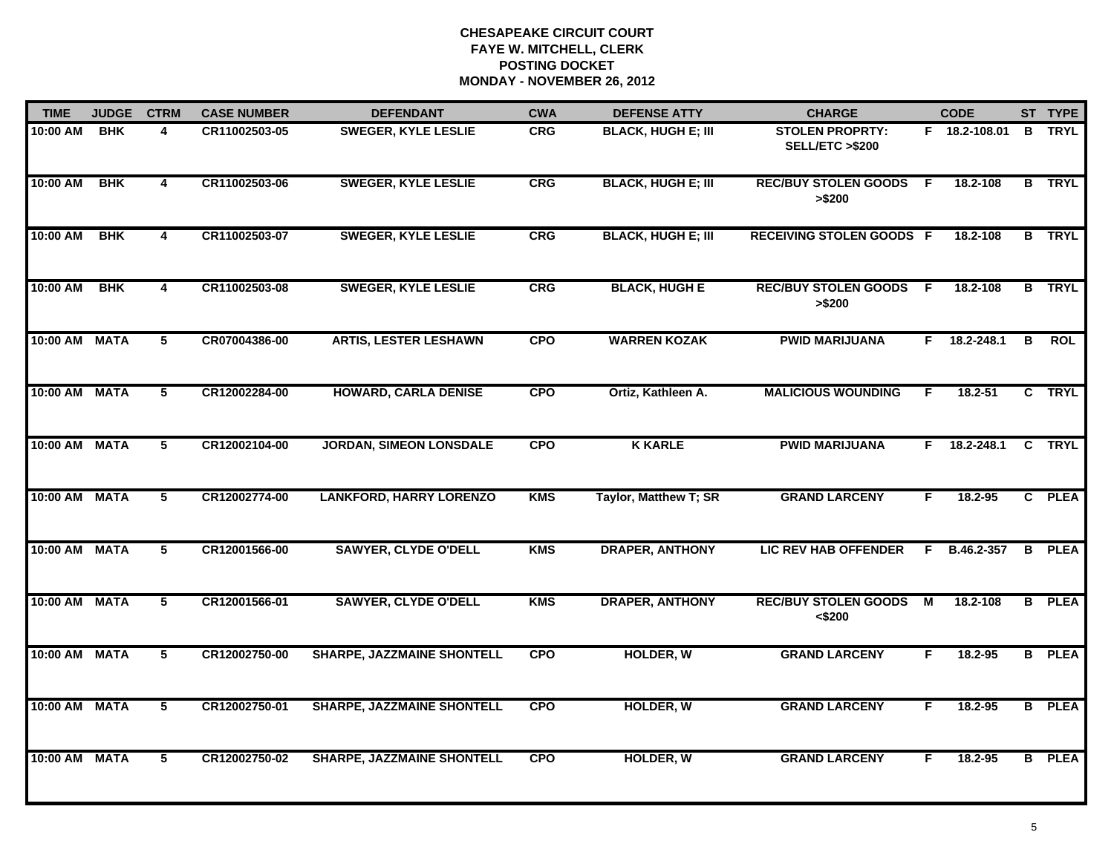| <b>TIME</b>   | <b>JUDGE</b> | <b>CTRM</b>    | <b>CASE NUMBER</b> | <b>DEFENDANT</b>                  | <b>CWA</b> | <b>DEFENSE ATTY</b>       | <b>CHARGE</b>                             |    | <b>CODE</b>    |              | ST TYPE       |
|---------------|--------------|----------------|--------------------|-----------------------------------|------------|---------------------------|-------------------------------------------|----|----------------|--------------|---------------|
| 10:00 AM      | <b>BHK</b>   | 4              | CR11002503-05      | <b>SWEGER, KYLE LESLIE</b>        | <b>CRG</b> | <b>BLACK, HUGH E; III</b> | <b>STOLEN PROPRTY:</b><br>SELL/ETC >\$200 |    | F 18.2-108.01  | B            | <b>TRYL</b>   |
| 10:00 AM      | <b>BHK</b>   | 4              | CR11002503-06      | <b>SWEGER, KYLE LESLIE</b>        | <b>CRG</b> | <b>BLACK, HUGH E; III</b> | <b>REC/BUY STOLEN GOODS</b><br>> \$200    | -F | 18.2-108       |              | <b>B</b> TRYL |
| 10:00 AM      | <b>BHK</b>   | $\overline{4}$ | CR11002503-07      | <b>SWEGER, KYLE LESLIE</b>        | CRG        | <b>BLACK, HUGH E; III</b> | <b>RECEIVING STOLEN GOODS F</b>           |    | 18.2-108       |              | <b>B</b> TRYL |
| 10:00 AM      | <b>BHK</b>   | 4              | CR11002503-08      | <b>SWEGER, KYLE LESLIE</b>        | CRG        | <b>BLACK, HUGH E</b>      | <b>REC/BUY STOLEN GOODS</b><br>> \$200    | -F | 18.2-108       |              | <b>B</b> TRYL |
| 10:00 AM MATA |              | 5              | CR07004386-00      | <b>ARTIS, LESTER LESHAWN</b>      | <b>CPO</b> | <b>WARREN KOZAK</b>       | <b>PWID MARIJUANA</b>                     |    | $F$ 18.2-248.1 | B            | <b>ROL</b>    |
| 10:00 AM MATA |              | 5              | CR12002284-00      | <b>HOWARD, CARLA DENISE</b>       | <b>CPO</b> | Ortiz, Kathleen A.        | <b>MALICIOUS WOUNDING</b>                 | F. | $18.2 - 51$    |              | C TRYL        |
| 10:00 AM MATA |              | 5              | CR12002104-00      | <b>JORDAN, SIMEON LONSDALE</b>    | <b>CPO</b> | <b>K KARLE</b>            | <b>PWID MARIJUANA</b>                     | F. | $18.2 - 248.1$ | $\mathbf{c}$ | <b>TRYL</b>   |
| 10:00 AM MATA |              | 5              | CR12002774-00      | <b>LANKFORD, HARRY LORENZO</b>    | <b>KMS</b> | Taylor, Matthew T; SR     | <b>GRAND LARCENY</b>                      | F  | 18.2-95        |              | C PLEA        |
| 10:00 AM MATA |              | 5              | CR12001566-00      | <b>SAWYER, CLYDE O'DELL</b>       | <b>KMS</b> | <b>DRAPER, ANTHONY</b>    | <b>LIC REV HAB OFFENDER</b>               | F  | B.46.2-357     | B            | <b>PLEA</b>   |
| 10:00 AM MATA |              | 5              | CR12001566-01      | <b>SAWYER, CLYDE O'DELL</b>       | <b>KMS</b> | <b>DRAPER, ANTHONY</b>    | <b>REC/BUY STOLEN GOODS</b><br><\$200     | M  | 18.2-108       |              | <b>B</b> PLEA |
| 10:00 AM MATA |              | 5              | CR12002750-00      | <b>SHARPE, JAZZMAINE SHONTELL</b> | <b>CPO</b> | <b>HOLDER, W</b>          | <b>GRAND LARCENY</b>                      | F. | 18.2-95        |              | <b>B</b> PLEA |
| 10:00 AM MATA |              | 5              | CR12002750-01      | <b>SHARPE, JAZZMAINE SHONTELL</b> | <b>CPO</b> | <b>HOLDER, W</b>          | <b>GRAND LARCENY</b>                      | F. | 18.2-95        |              | <b>B</b> PLEA |
| 10:00 AM MATA |              | 5              | CR12002750-02      | <b>SHARPE, JAZZMAINE SHONTELL</b> | <b>CPO</b> | <b>HOLDER, W</b>          | <b>GRAND LARCENY</b>                      | F  | 18.2-95        |              | <b>B</b> PLEA |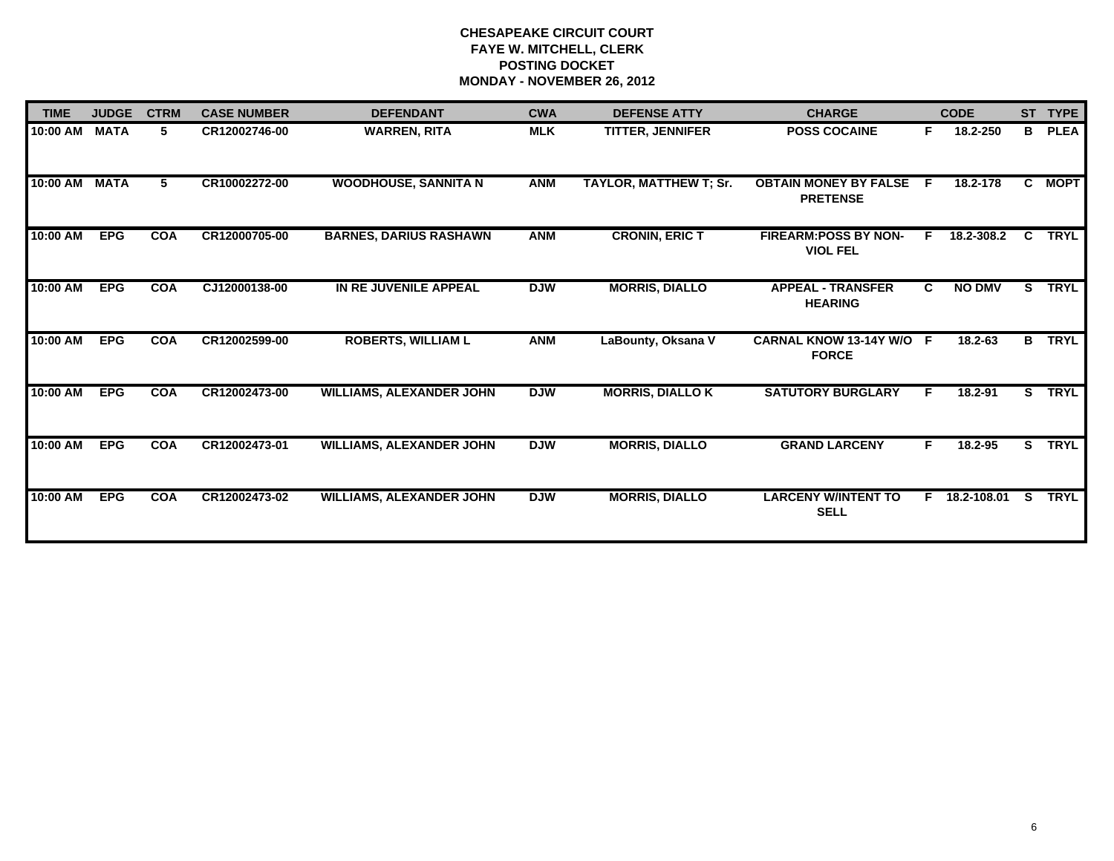| <b>TIME</b> | <b>JUDGE</b> | <b>CTRM</b> | <b>CASE NUMBER</b> | <b>DEFENDANT</b>                | <b>CWA</b> | <b>DEFENSE ATTY</b>           | <b>CHARGE</b>                                   |              | <b>CODE</b>   |    | ST TYPE     |
|-------------|--------------|-------------|--------------------|---------------------------------|------------|-------------------------------|-------------------------------------------------|--------------|---------------|----|-------------|
| 10:00 AM    | <b>MATA</b>  | 5.          | CR12002746-00      | <b>WARREN, RITA</b>             | <b>MLK</b> | TITTER, JENNIFER              | <b>POSS COCAINE</b>                             | F.           | 18.2-250      | B. | <b>PLEA</b> |
| 10:00 AM    | <b>MATA</b>  | 5           | CR10002272-00      | <b>WOODHOUSE, SANNITA N</b>     | <b>ANM</b> | <b>TAYLOR, MATTHEW T; Sr.</b> | <b>OBTAIN MONEY BY FALSE</b><br><b>PRETENSE</b> | -F.          | 18.2-178      |    | C MOPT      |
| 10:00 AM    | <b>EPG</b>   | <b>COA</b>  | CR12000705-00      | <b>BARNES, DARIUS RASHAWN</b>   | <b>ANM</b> | <b>CRONIN, ERIC T</b>         | <b>FIREARM:POSS BY NON-</b><br><b>VIOL FEL</b>  | F.           | 18.2-308.2    | C  | <b>TRYL</b> |
| 10:00 AM    | <b>EPG</b>   | <b>COA</b>  | CJ12000138-00      | IN RE JUVENILE APPEAL           | <b>DJW</b> | <b>MORRIS, DIALLO</b>         | <b>APPEAL - TRANSFER</b><br><b>HEARING</b>      | $\mathbf{C}$ | <b>NO DMV</b> | S. | <b>TRYL</b> |
| 10:00 AM    | <b>EPG</b>   | <b>COA</b>  | CR12002599-00      | <b>ROBERTS, WILLIAM L</b>       | <b>ANM</b> | LaBounty, Oksana V            | <b>CARNAL KNOW 13-14Y W/O</b><br><b>FORCE</b>   | -F           | 18.2-63       | B  | <b>TRYL</b> |
| 10:00 AM    | <b>EPG</b>   | <b>COA</b>  | CR12002473-00      | <b>WILLIAMS, ALEXANDER JOHN</b> | <b>DJW</b> | <b>MORRIS, DIALLO K</b>       | <b>SATUTORY BURGLARY</b>                        |              | $18.2 - 91$   | S. | <b>TRYL</b> |
| 10:00 AM    | <b>EPG</b>   | <b>COA</b>  | CR12002473-01      | <b>WILLIAMS, ALEXANDER JOHN</b> | <b>DJW</b> | <b>MORRIS, DIALLO</b>         | <b>GRAND LARCENY</b>                            | F.           | 18.2-95       | S. | <b>TRYL</b> |
| 10:00 AM    | <b>EPG</b>   | <b>COA</b>  | CR12002473-02      | <b>WILLIAMS, ALEXANDER JOHN</b> | <b>DJW</b> | <b>MORRIS, DIALLO</b>         | <b>LARCENY W/INTENT TO</b><br><b>SELL</b>       | F.           | 18.2-108.01   | S. | <b>TRYL</b> |